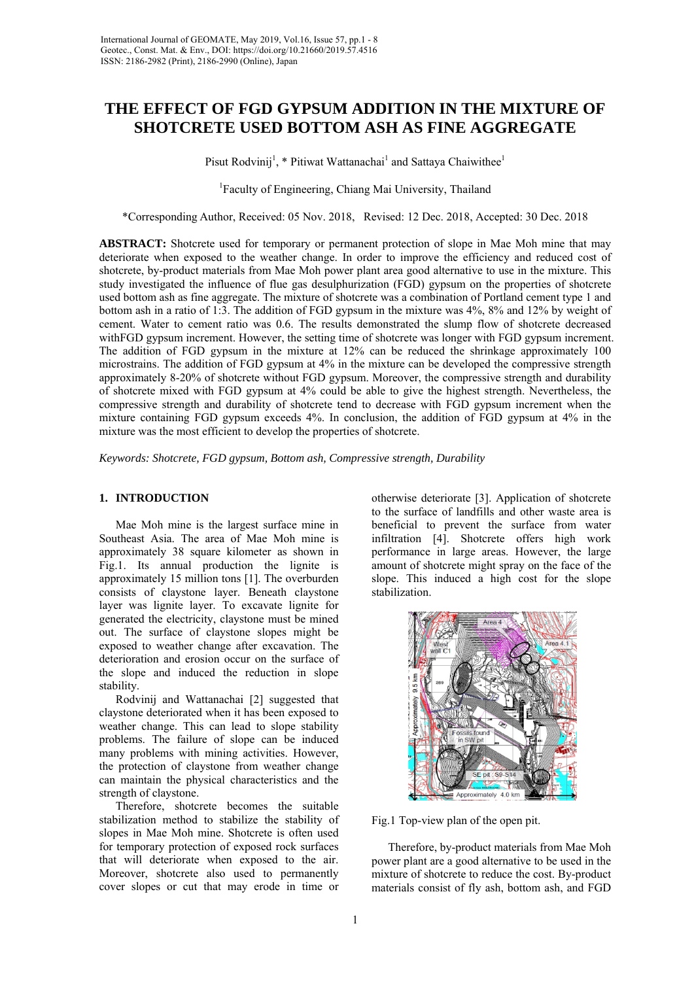# **THE EFFECT OF FGD GYPSUM ADDITION IN THE MIXTURE OF SHOTCRETE USED BOTTOM ASH AS FINE AGGREGATE**

Pisut Rodvinij<sup>1</sup>, \* Pitiwat Wattanachai<sup>1</sup> and Sattaya Chaiwithee<sup>1</sup>

<sup>1</sup>Faculty of Engineering, Chiang Mai University, Thailand

\*Corresponding Author, Received: 05 Nov. 2018, Revised: 12 Dec. 2018, Accepted: 30 Dec. 2018

**ABSTRACT:** Shotcrete used for temporary or permanent protection of slope in Mae Moh mine that may deteriorate when exposed to the weather change. In order to improve the efficiency and reduced cost of shotcrete, by-product materials from Mae Moh power plant area good alternative to use in the mixture. This study investigated the influence of flue gas desulphurization (FGD) gypsum on the properties of shotcrete used bottom ash as fine aggregate. The mixture of shotcrete was a combination of Portland cement type 1 and bottom ash in a ratio of 1:3. The addition of FGD gypsum in the mixture was 4%, 8% and 12% by weight of cement. Water to cement ratio was 0.6. The results demonstrated the slump flow of shotcrete decreased withFGD gypsum increment. However, the setting time of shotcrete was longer with FGD gypsum increment. The addition of FGD gypsum in the mixture at 12% can be reduced the shrinkage approximately 100 microstrains. The addition of FGD gypsum at 4% in the mixture can be developed the compressive strength approximately 8-20% of shotcrete without FGD gypsum. Moreover, the compressive strength and durability of shotcrete mixed with FGD gypsum at 4% could be able to give the highest strength. Nevertheless, the compressive strength and durability of shotcrete tend to decrease with FGD gypsum increment when the mixture containing FGD gypsum exceeds 4%. In conclusion, the addition of FGD gypsum at 4% in the mixture was the most efficient to develop the properties of shotcrete.

*Keywords: Shotcrete, FGD gypsum, Bottom ash, Compressive strength, Durability* 

# **1. INTRODUCTION**

Mae Moh mine is the largest surface mine in Southeast Asia. The area of Mae Moh mine is approximately 38 square kilometer as shown in Fig.1. Its annual production the lignite is approximately 15 million tons [1]. The overburden consists of claystone layer. Beneath claystone layer was lignite layer. To excavate lignite for generated the electricity, claystone must be mined out. The surface of claystone slopes might be exposed to weather change after excavation. The deterioration and erosion occur on the surface of the slope and induced the reduction in slope stability.

Rodvinij and Wattanachai [2] suggested that claystone deteriorated when it has been exposed to weather change. This can lead to slope stability problems. The failure of slope can be induced many problems with mining activities. However, the protection of claystone from weather change can maintain the physical characteristics and the strength of claystone.

Therefore, shotcrete becomes the suitable stabilization method to stabilize the stability of slopes in Mae Moh mine. Shotcrete is often used for temporary protection of exposed rock surfaces that will deteriorate when exposed to the air. Moreover, shotcrete also used to permanently cover slopes or cut that may erode in time or

otherwise deteriorate [3]. Application of shotcrete to the surface of landfills and other waste area is beneficial to prevent the surface from water infiltration [4]. Shotcrete offers high work performance in large areas. However, the large amount of shotcrete might spray on the face of the slope. This induced a high cost for the slope stabilization.



Fig.1 Top-view plan of the open pit.

Therefore, by-product materials from Mae Moh power plant are a good alternative to be used in the mixture of shotcrete to reduce the cost. By-product materials consist of fly ash, bottom ash, and FGD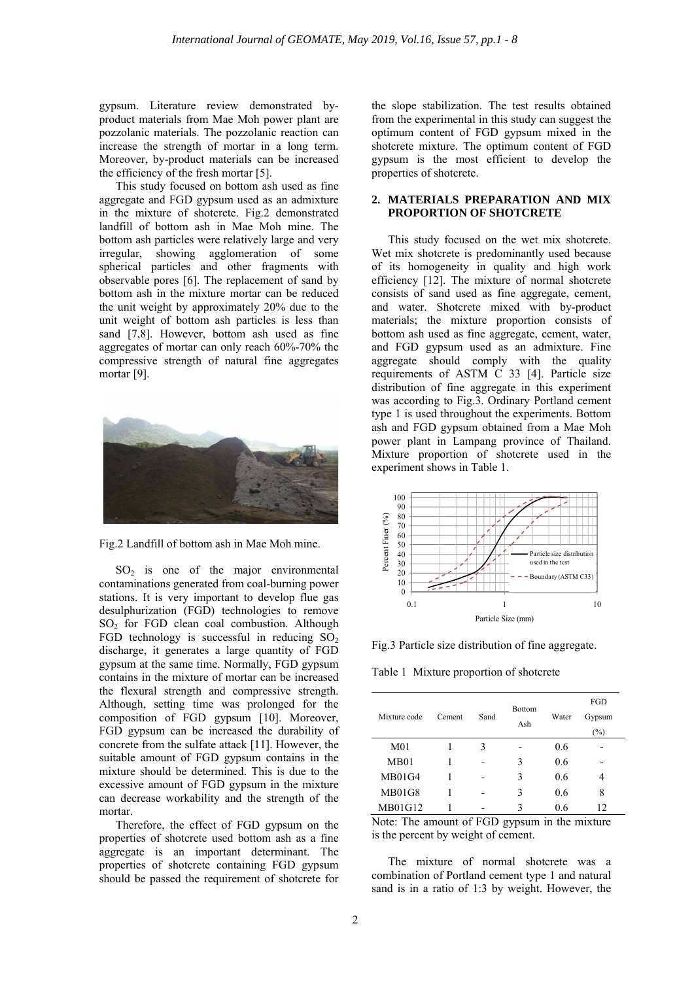gypsum. Literature review demonstrated byproduct materials from Mae Moh power plant are pozzolanic materials. The pozzolanic reaction can increase the strength of mortar in a long term. Moreover, by-product materials can be increased the efficiency of the fresh mortar [5].

This study focused on bottom ash used as fine aggregate and FGD gypsum used as an admixture in the mixture of shotcrete. Fig.2 demonstrated landfill of bottom ash in Mae Moh mine. The bottom ash particles were relatively large and very irregular, showing agglomeration of some spherical particles and other fragments with observable pores [6]. The replacement of sand by bottom ash in the mixture mortar can be reduced the unit weight by approximately 20% due to the unit weight of bottom ash particles is less than sand [7,8]. However, bottom ash used as fine aggregates of mortar can only reach 60%-70% the compressive strength of natural fine aggregates mortar [9].





 $SO<sub>2</sub>$  is one of the major environmental contaminations generated from coal-burning power stations. It is very important to develop flue gas desulphurization (FGD) technologies to remove SO<sub>2</sub> for FGD clean coal combustion. Although FGD technology is successful in reducing  $SO<sub>2</sub>$ discharge, it generates a large quantity of FGD gypsum at the same time. Normally, FGD gypsum contains in the mixture of mortar can be increased the flexural strength and compressive strength. Although, setting time was prolonged for the composition of FGD gypsum [10]. Moreover, FGD gypsum can be increased the durability of concrete from the sulfate attack [11]. However, the suitable amount of FGD gypsum contains in the mixture should be determined. This is due to the excessive amount of FGD gypsum in the mixture can decrease workability and the strength of the mortar.

Therefore, the effect of FGD gypsum on the properties of shotcrete used bottom ash as a fine aggregate is an important determinant. The properties of shotcrete containing FGD gypsum should be passed the requirement of shotcrete for

the slope stabilization. The test results obtained from the experimental in this study can suggest the optimum content of FGD gypsum mixed in the shotcrete mixture. The optimum content of FGD gypsum is the most efficient to develop the properties of shotcrete.

# **2. MATERIALS PREPARATION AND MIX PROPORTION OF SHOTCRETE**

This study focused on the wet mix shotcrete. Wet mix shotcrete is predominantly used because of its homogeneity in quality and high work efficiency [12]. The mixture of normal shotcrete consists of sand used as fine aggregate, cement, and water. Shotcrete mixed with by-product materials; the mixture proportion consists of bottom ash used as fine aggregate, cement, water, and FGD gypsum used as an admixture. Fine aggregate should comply with the quality requirements of ASTM C 33 [4]. Particle size distribution of fine aggregate in this experiment was according to Fig.3. Ordinary Portland cement type 1 is used throughout the experiments. Bottom ash and FGD gypsum obtained from a Mae Moh power plant in Lampang province of Thailand. Mixture proportion of shotcrete used in the experiment shows in Table 1.



Fig.3 Particle size distribution of fine aggregate.

Table 1 Mixture proportion of shotcrete

| Mixture code    | Cement | Sand | <b>Bottom</b><br>Ash | Water | FGD<br>Gypsum<br>$(\%)$ |
|-----------------|--------|------|----------------------|-------|-------------------------|
| M <sub>01</sub> |        | 3    |                      | 0.6   |                         |
| MB01            |        |      | 3                    | 0.6   |                         |
| MB01G4          |        |      | 3                    | 0.6   | 4                       |
| <b>MB01G8</b>   |        |      | 3                    | 0.6   | 8                       |
| MB01G12         |        |      | 3                    | 0.6   | 12                      |

Note: The amount of FGD gypsum in the mixture is the percent by weight of cement.

The mixture of normal shotcrete was a combination of Portland cement type 1 and natural sand is in a ratio of 1:3 by weight. However, the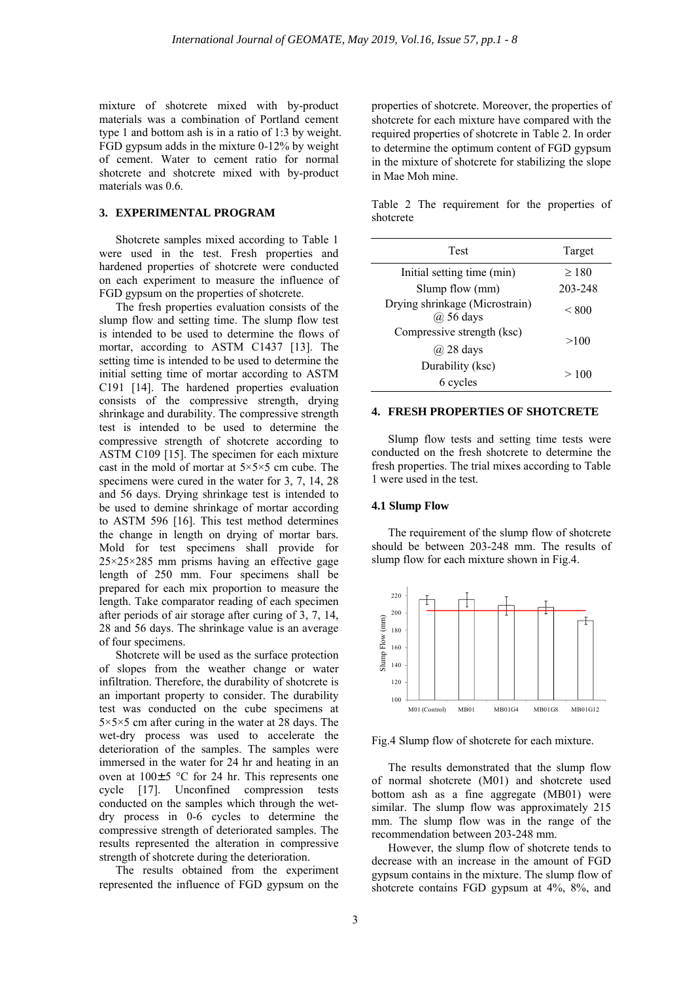mixture of shotcrete mixed with by-product materials was a combination of Portland cement type 1 and bottom ash is in a ratio of 1:3 by weight. FGD gypsum adds in the mixture 0-12% by weight of cement. Water to cement ratio for normal shotcrete and shotcrete mixed with by-product materials was 0.6.

## **3. EXPERIMENTAL PROGRAM**

Shotcrete samples mixed according to Table 1 were used in the test. Fresh properties and hardened properties of shotcrete were conducted on each experiment to measure the influence of FGD gypsum on the properties of shotcrete.

The fresh properties evaluation consists of the slump flow and setting time. The slump flow test is intended to be used to determine the flows of mortar, according to ASTM C1437 [13]. The setting time is intended to be used to determine the initial setting time of mortar according to ASTM C191 [14]. The hardened properties evaluation consists of the compressive strength, drying shrinkage and durability. The compressive strength test is intended to be used to determine the compressive strength of shotcrete according to ASTM C109 [15]. The specimen for each mixture cast in the mold of mortar at 5×5×5 cm cube. The specimens were cured in the water for 3, 7, 14, 28 and 56 days. Drying shrinkage test is intended to be used to demine shrinkage of mortar according to ASTM 596 [16]. This test method determines the change in length on drying of mortar bars. Mold for test specimens shall provide for 25×25×285 mm prisms having an effective gage length of 250 mm. Four specimens shall be prepared for each mix proportion to measure the length. Take comparator reading of each specimen after periods of air storage after curing of 3, 7, 14, 28 and 56 days. The shrinkage value is an average of four specimens.

Shotcrete will be used as the surface protection of slopes from the weather change or water infiltration. Therefore, the durability of shotcrete is an important property to consider. The durability test was conducted on the cube specimens at 5×5×5 cm after curing in the water at 28 days. The wet-dry process was used to accelerate the deterioration of the samples. The samples were immersed in the water for 24 hr and heating in an oven at  $100 \pm 5$  °C for 24 hr. This represents one cycle [17]. Unconfined compression tests conducted on the samples which through the wetdry process in 0-6 cycles to determine the compressive strength of deteriorated samples. The results represented the alteration in compressive strength of shotcrete during the deterioration.

The results obtained from the experiment represented the influence of FGD gypsum on the properties of shotcrete. Moreover, the properties of shotcrete for each mixture have compared with the required properties of shotcrete in Table 2. In order to determine the optimum content of FGD gypsum in the mixture of shotcrete for stabilizing the slope in Mae Moh mine.

Table 2 The requirement for the properties of shotcrete

| Test                                            | Target       |  |  |
|-------------------------------------------------|--------------|--|--|
| Initial setting time (min)                      | $\geq$ 180   |  |  |
| Slump flow (mm)                                 | 203-248      |  |  |
| Drying shrinkage (Microstrain)<br>$(a)$ 56 days | ${}_{< 800}$ |  |  |
| Compressive strength (ksc)                      | >100         |  |  |
| $\omega$ 28 days                                |              |  |  |
| Durability (ksc)                                | >100         |  |  |
| 6 cycles                                        |              |  |  |

#### **4. FRESH PROPERTIES OF SHOTCRETE**

Slump flow tests and setting time tests were conducted on the fresh shotcrete to determine the fresh properties. The trial mixes according to Table 1 were used in the test.

#### **4.1 Slump Flow**

The requirement of the slump flow of shotcrete should be between 203-248 mm. The results of slump flow for each mixture shown in Fig.4.



Fig.4 Slump flow of shotcrete for each mixture.

The results demonstrated that the slump flow of normal shotcrete (M01) and shotcrete used bottom ash as a fine aggregate (MB01) were similar. The slump flow was approximately 215 mm. The slump flow was in the range of the recommendation between 203-248 mm.

However, the slump flow of shotcrete tends to decrease with an increase in the amount of FGD gypsum contains in the mixture. The slump flow of shotcrete contains FGD gypsum at 4%, 8%, and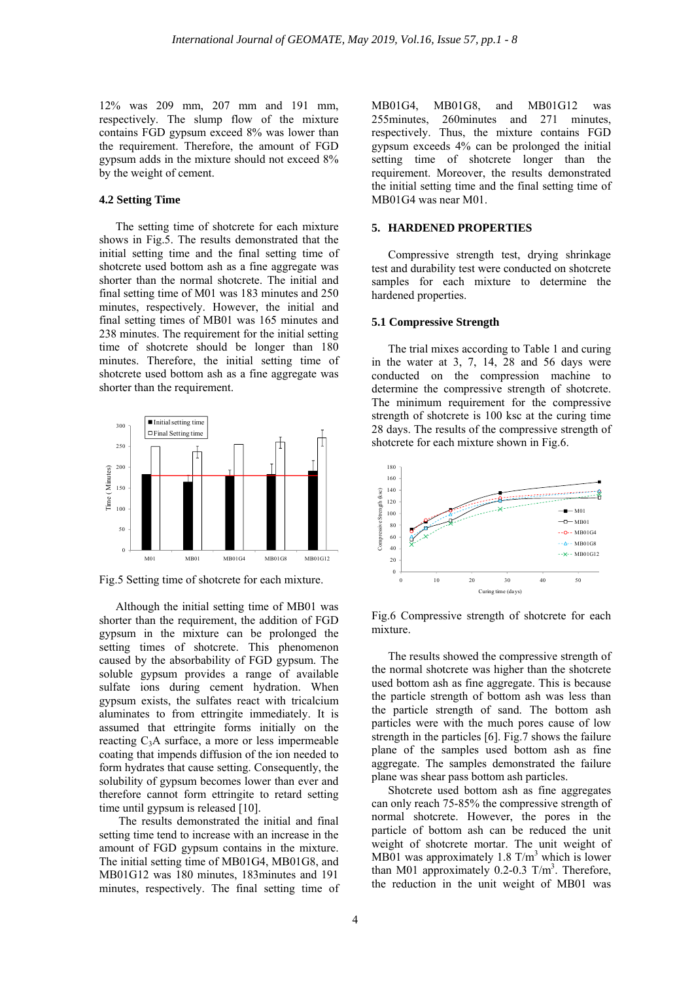12% was 209 mm, 207 mm and 191 mm, respectively. The slump flow of the mixture contains FGD gypsum exceed 8% was lower than the requirement. Therefore, the amount of FGD gypsum adds in the mixture should not exceed 8% by the weight of cement.

# **4.2 Setting Time**

The setting time of shotcrete for each mixture shows in Fig.5. The results demonstrated that the initial setting time and the final setting time of shotcrete used bottom ash as a fine aggregate was shorter than the normal shotcrete. The initial and final setting time of M01 was 183 minutes and 250 minutes, respectively. However, the initial and final setting times of MB01 was 165 minutes and 238 minutes. The requirement for the initial setting time of shotcrete should be longer than 180 minutes. Therefore, the initial setting time of shotcrete used bottom ash as a fine aggregate was shorter than the requirement.



Fig.5 Setting time of shotcrete for each mixture.

Although the initial setting time of MB01 was shorter than the requirement, the addition of FGD gypsum in the mixture can be prolonged the setting times of shotcrete. This phenomenon caused by the absorbability of FGD gypsum. The soluble gypsum provides a range of available sulfate ions during cement hydration. When gypsum exists, the sulfates react with tricalcium aluminates to from ettringite immediately. It is assumed that ettringite forms initially on the reacting  $C_3A$  surface, a more or less impermeable coating that impends diffusion of the ion needed to form hydrates that cause setting. Consequently, the solubility of gypsum becomes lower than ever and therefore cannot form ettringite to retard setting time until gypsum is released [10].

 The results demonstrated the initial and final setting time tend to increase with an increase in the amount of FGD gypsum contains in the mixture. The initial setting time of MB01G4, MB01G8, and MB01G12 was 180 minutes, 183minutes and 191 minutes, respectively. The final setting time of MB01G4, MB01G8, and MB01G12 was 255minutes, 260minutes and 271 minutes, respectively. Thus, the mixture contains FGD gypsum exceeds 4% can be prolonged the initial setting time of shotcrete longer than the requirement. Moreover, the results demonstrated the initial setting time and the final setting time of MB01G4 was near M01.

## **5. HARDENED PROPERTIES**

Compressive strength test, drying shrinkage test and durability test were conducted on shotcrete samples for each mixture to determine the hardened properties.

#### **5.1 Compressive Strength**

The trial mixes according to Table 1 and curing in the water at 3, 7, 14, 28 and 56 days were conducted on the compression machine to determine the compressive strength of shotcrete. The minimum requirement for the compressive strength of shotcrete is 100 ksc at the curing time 28 days. The results of the compressive strength of shotcrete for each mixture shown in Fig.6.



Fig.6 Compressive strength of shotcrete for each mixture.

The results showed the compressive strength of the normal shotcrete was higher than the shotcrete used bottom ash as fine aggregate. This is because the particle strength of bottom ash was less than the particle strength of sand. The bottom ash particles were with the much pores cause of low strength in the particles [6]. Fig.7 shows the failure plane of the samples used bottom ash as fine aggregate. The samples demonstrated the failure plane was shear pass bottom ash particles.

Shotcrete used bottom ash as fine aggregates can only reach 75-85% the compressive strength of normal shotcrete. However, the pores in the particle of bottom ash can be reduced the unit weight of shotcrete mortar. The unit weight of MB01 was approximately  $1.8$  T/m<sup>3</sup> which is lower than M01 approximately  $0.2$ -0.3 T/m<sup>3</sup>. Therefore, the reduction in the unit weight of MB01 was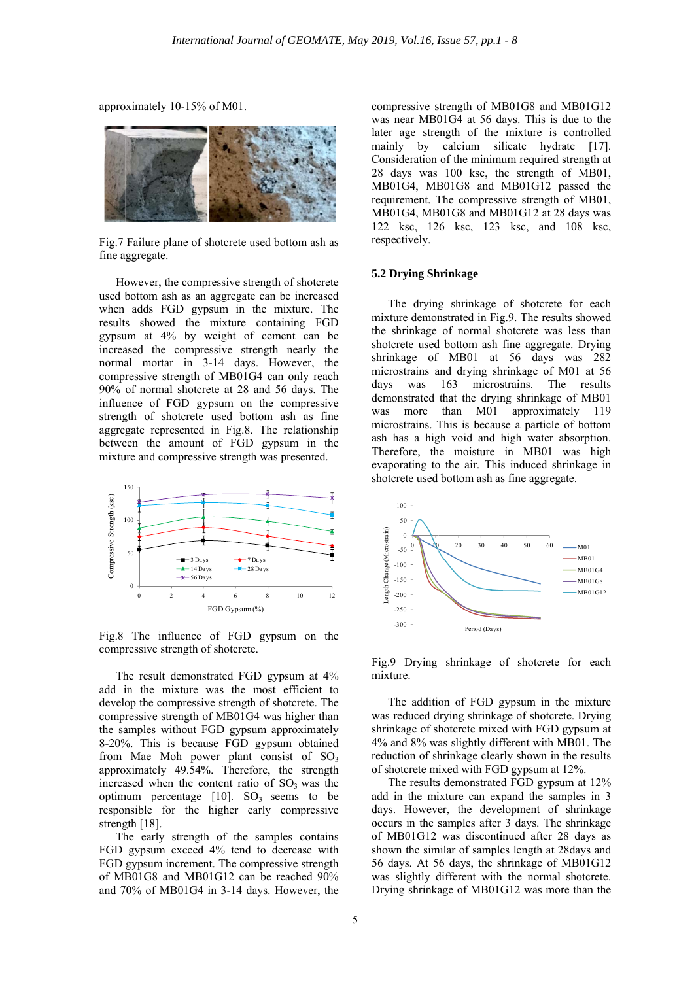approximately 10-15% of M01.



Fig.7 Failure plane of shotcrete used bottom ash as fine a aggregate.

However, the compressive strength of shotcrete used b bottom ash as s an aggregat e can be incr eased when adds FGD gypsum in the mixture. The result s showed t the mixture containing FGD gypsum at 4% by weight of cement can be increased the compressive strength nearly the normal mortar in 3-14 days. However, the compressive strength of MB01G4 can only reach 90% of normal sh otcrete at 28 and 56 days . The influence of FGD gypsum on the compressive strength of shotcrete used bottom ash as fine aggregate represented in Fig.8. The relationship between the amount of FGD gypsum in the mixture and compressive strength was presented.



Fig.8 The influence of FGD gypsum on the compressive strength of shotcrete.

The result demonstrated FGD gypsum at 4% add in the mixture was the most efficient to develop the compressive strength of shotcrete. The compressive strength of MB01G4 was higher than the samples without FGD gypsum approximately 8-20%. This is because FGD gypsum obtained from Mae Moh power plant consist of  $SO_3$ approximately 49.54%. Therefore, the strength increased when the content ratio of  $SO<sub>3</sub>$  was the optimum percentage  $[10]$ . SO<sub>3</sub> seems to be responsible for the higher early compressive strength [18].

The early strength of the samples contains FGD gypsum exceed 4% tend to decrease with FGD gypsum increment. The compressive strength of MB01G8 and MB01G12 can be reached 90% and 7 70% of MB01 G4 in 3-14 d days. Howeve r, the c compressive s strength of M MB01G8 and M was near MB01G4 at 56 days. This is due to the later age strength of the mixture is controlled mainly by calcium silicate hydrate [17]. Consideration of the minimum required strength at 28 days was 100 ksc, the strength of MB01, MB01G4, MB01G8 and MB01G12 passed the requirement. The compressive strength of MB01, MB01G4, MB01G8 and MB01G12 at 28 days was 1 122 ksc, 12 6 ksc, 123 ksc, and 108 ksc, r espectively.

## **5 5.2 Drying Sh hrinkage**

mixture demonstrated in Fig.9. The results showed th he shrinkage of normal sh hotcrete was less than shotcrete used bottom ash fine aggregate. Drying shrinkage of MB01 at 56 days was 282 m microstrains a and drying sh hrinkage of M M01 at 56 d days was demonstrated that the drying shrinkage of MB01 was more than M01 approximately 119 microstrains. This is because a particle of bottom ash has a high void and high water absorption. Therefore, the moisture in MB01 was high evaporating to the air. This induced shrinkage in shotcrete used bottom ash as fine aggregate. The drying shrinkage of shotcrete for each 163 microstrains. The results 1801G8 and MB01G12<br>
lays. This is due to the<br>
mixture is controlled<br>
ilicate hydrate [17].<br>
uum required strength at<br>
he strength of MB01,<br>
MB01G12 passed the<br>
sive strength of MB01,<br>
B01G12 at 28 days was<br>
ksc, and 108 ks



Fig.9 Drying shrinkage of shotcrete for each m mixture.

was reduced drying shrinkage of shotcrete. Drying shrinkage of shotcrete mixed with FGD gypsum at 4 4% and 8% wa as slightly dif fferent with M MB01. The reduction of shrinkage clearly shown in the results o of shotcrete m ixed with FGD D gypsum at 1 12%. The additi on of FGD g gypsum in th he mixture

add in the mixture can expand the samples in 3 days. However, the development of shrinkage o occurs in the s samples after 3 days. The shrinkage o of MB01G12 was disconti inued after 2 8 days as shown the similar of samples length at 28 days and 5 56 days. At 5 6 days, the s shrinkage of M MB01G12 was slightly different with the normal shotcrete. Drying shrinkage of MB01G12 was more than the The results demonstrated FGD gypsum at 12%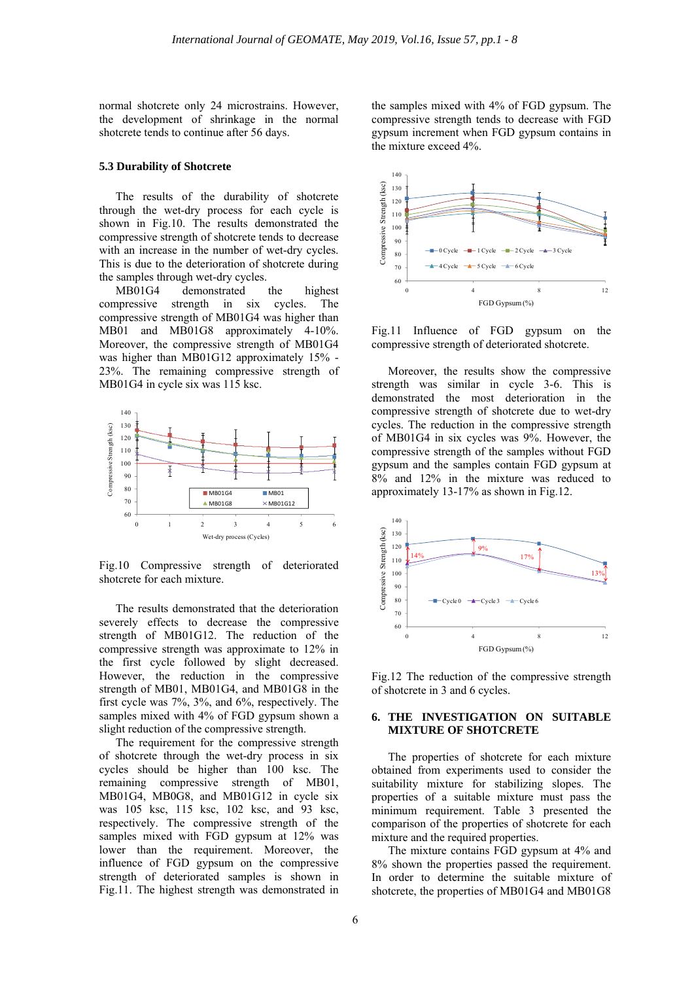normal shotcrete only 24 microstrains. However, the development of shrinkage in the normal shotcrete tends to continue after 56 days.

#### **5.3 Durability of Shotcrete**

The results of the durability of shotcrete through the wet-dry process for each cycle is shown in Fig.10. The results demonstrated the compressive strength of shotcrete tends to decrease with an increase in the number of wet-dry cycles. This is due to the deterioration of shotcrete during the samples through wet-dry cycles.

MB01G4 demonstrated the highest compressive strength in six cycles. The compressive strength of MB01G4 was higher than MB01 and MB01G8 approximately 4-10%. Moreover, the compressive strength of MB01G4 was higher than MB01G12 approximately 15% - 23%. The remaining compressive strength of MB01G4 in cycle six was 115 ksc.



Fig.10 Compressive strength of deteriorated shotcrete for each mixture.

The results demonstrated that the deterioration severely effects to decrease the compressive strength of MB01G12. The reduction of the compressive strength was approximate to 12% in the first cycle followed by slight decreased. However, the reduction in the compressive strength of MB01, MB01G4, and MB01G8 in the first cycle was 7%, 3%, and 6%, respectively. The samples mixed with 4% of FGD gypsum shown a slight reduction of the compressive strength.

The requirement for the compressive strength of shotcrete through the wet-dry process in six cycles should be higher than 100 ksc. The remaining compressive strength of MB01, MB01G4, MB0G8, and MB01G12 in cycle six was 105 ksc, 115 ksc, 102 ksc, and 93 ksc, respectively. The compressive strength of the samples mixed with FGD gypsum at 12% was lower than the requirement. Moreover, the influence of FGD gypsum on the compressive strength of deteriorated samples is shown in Fig.11. The highest strength was demonstrated in the samples mixed with 4% of FGD gypsum. The compressive strength tends to decrease with FGD gypsum increment when FGD gypsum contains in the mixture exceed 4%.



Fig.11 Influence of FGD gypsum on the compressive strength of deteriorated shotcrete.

Moreover, the results show the compressive strength was similar in cycle 3-6. This is demonstrated the most deterioration in the compressive strength of shotcrete due to wet-dry cycles. The reduction in the compressive strength of MB01G4 in six cycles was 9%. However, the compressive strength of the samples without FGD gypsum and the samples contain FGD gypsum at 8% and 12% in the mixture was reduced to approximately 13-17% as shown in Fig.12.



Fig.12 The reduction of the compressive strength of shotcrete in 3 and 6 cycles.

## **6. THE INVESTIGATION ON SUITABLE MIXTURE OF SHOTCRETE**

The properties of shotcrete for each mixture obtained from experiments used to consider the suitability mixture for stabilizing slopes. The properties of a suitable mixture must pass the minimum requirement. Table 3 presented the comparison of the properties of shotcrete for each mixture and the required properties.

The mixture contains FGD gypsum at 4% and 8% shown the properties passed the requirement. In order to determine the suitable mixture of shotcrete, the properties of MB01G4 and MB01G8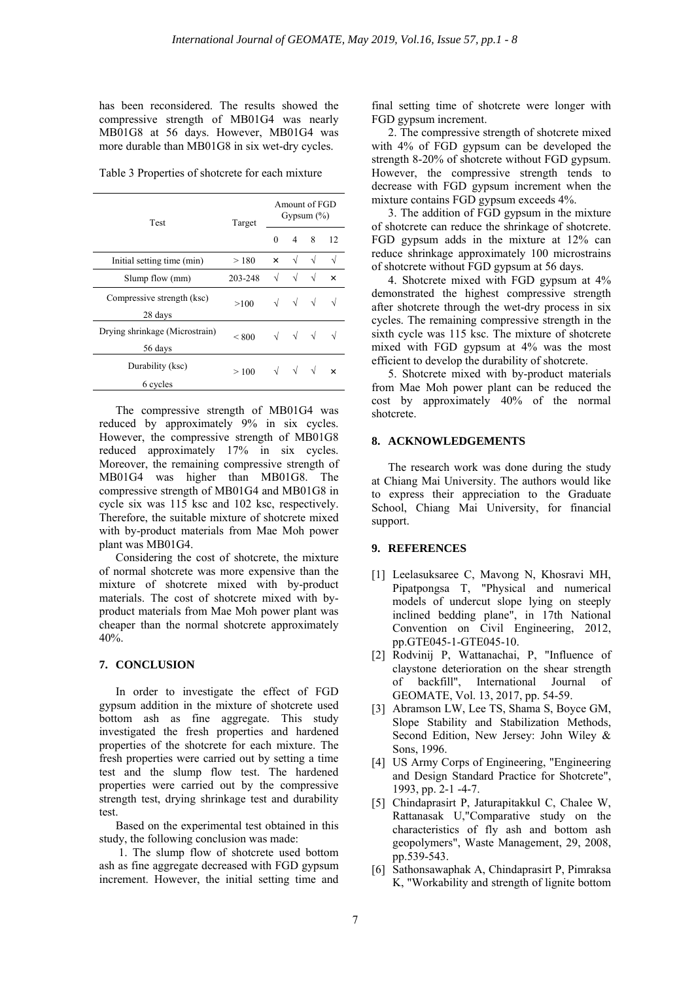has been reconsidered. The results showed the compressive strength of MB01G4 was nearly MB01G8 at 56 days. However, MB01G4 was more durable than MB01G8 in six wet-dry cycles.

Table 3 Properties of shotcrete for each mixture

| <b>Test</b>                               | Target  | Amount of FGD<br>Gypsum $(\%)$ |            |            |          |
|-------------------------------------------|---------|--------------------------------|------------|------------|----------|
|                                           |         | 0                              | 4          | 8          | 12       |
| Initial setting time (min)                | >180    | $\times$                       | $\sqrt{}$  | $\sqrt{}$  |          |
| Slump flow (mm)                           | 203-248 | $\sqrt{}$                      | $\sqrt{}$  | V          | $\times$ |
| Compressive strength (ksc)<br>28 days     | >100    |                                | $\sqrt{}$  | $\sqrt{ }$ | N        |
| Drying shrinkage (Microstrain)<br>56 days | < 800   |                                | $\sqrt{}$  | $\sqrt{}$  |          |
| Durability (ksc)<br>6 cycles              | > 100   |                                | $\sqrt{2}$ | $\sqrt{ }$ | ×        |

The compressive strength of MB01G4 was reduced by approximately 9% in six cycles. However, the compressive strength of MB01G8 reduced approximately 17% in six cycles. Moreover, the remaining compressive strength of MB01G4 was higher than MB01G8. The compressive strength of MB01G4 and MB01G8 in cycle six was 115 ksc and 102 ksc, respectively. Therefore, the suitable mixture of shotcrete mixed with by-product materials from Mae Moh power plant was MB01G4.

Considering the cost of shotcrete, the mixture of normal shotcrete was more expensive than the mixture of shotcrete mixed with by-product materials. The cost of shotcrete mixed with byproduct materials from Mae Moh power plant was cheaper than the normal shotcrete approximately 40%.

#### **7. CONCLUSION**

In order to investigate the effect of FGD gypsum addition in the mixture of shotcrete used bottom ash as fine aggregate. This study investigated the fresh properties and hardened properties of the shotcrete for each mixture. The fresh properties were carried out by setting a time test and the slump flow test. The hardened properties were carried out by the compressive strength test, drying shrinkage test and durability test.

Based on the experimental test obtained in this study, the following conclusion was made:

 1. The slump flow of shotcrete used bottom ash as fine aggregate decreased with FGD gypsum increment. However, the initial setting time and final setting time of shotcrete were longer with FGD gypsum increment.

2. The compressive strength of shotcrete mixed with 4% of FGD gypsum can be developed the strength 8-20% of shotcrete without FGD gypsum. However, the compressive strength tends to decrease with FGD gypsum increment when the mixture contains FGD gypsum exceeds 4%.

3. The addition of FGD gypsum in the mixture of shotcrete can reduce the shrinkage of shotcrete. FGD gypsum adds in the mixture at 12% can reduce shrinkage approximately 100 microstrains of shotcrete without FGD gypsum at 56 days.

4. Shotcrete mixed with FGD gypsum at 4% demonstrated the highest compressive strength after shotcrete through the wet-dry process in six cycles. The remaining compressive strength in the sixth cycle was 115 ksc. The mixture of shotcrete mixed with FGD gypsum at 4% was the most efficient to develop the durability of shotcrete.

5. Shotcrete mixed with by-product materials from Mae Moh power plant can be reduced the cost by approximately 40% of the normal shotcrete.

#### **8. ACKNOWLEDGEMENTS**

The research work was done during the study at Chiang Mai University. The authors would like to express their appreciation to the Graduate School, Chiang Mai University, for financial support.

# **9. REFERENCES**

- [1] Leelasuksaree C, Mavong N, Khosravi MH, Pipatpongsa T, "Physical and numerical models of undercut slope lying on steeply inclined bedding plane", in 17th National Convention on Civil Engineering, 2012, pp.GTE045-1-GTE045-10.
- [2] Rodvinij P, Wattanachai, P, "Influence of claystone deterioration on the shear strength of backfill", International Journal of GEOMATE, Vol. 13, 2017, pp. 54-59.
- [3] Abramson LW, Lee TS, Shama S, Boyce GM, Slope Stability and Stabilization Methods, Second Edition, New Jersey: John Wiley & Sons, 1996.
- [4] US Army Corps of Engineering, "Engineering and Design Standard Practice for Shotcrete", 1993, pp. 2-1 -4-7.
- [5] Chindaprasirt P, Jaturapitakkul C, Chalee W, Rattanasak U,"Comparative study on the characteristics of fly ash and bottom ash geopolymers", Waste Management, 29, 2008, pp.539-543.
- [6] Sathonsawaphak A, Chindaprasirt P, Pimraksa K, "Workability and strength of lignite bottom